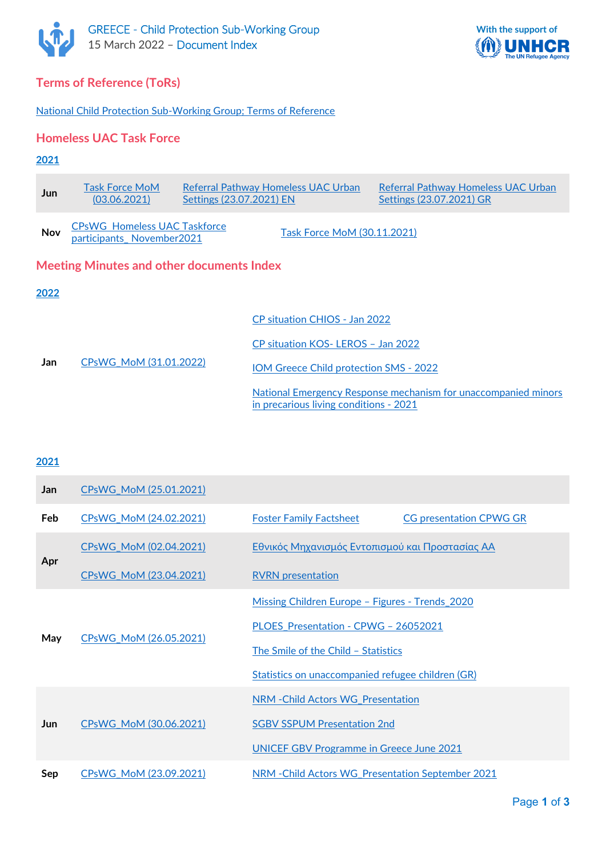



# **Terms of Reference (ToRs)**

[National Child Protection Sub-Working Group; Terms of Reference](https://data2.unhcr.org/en/documents/download/84830)

## **Homeless UAC Task Force**

#### **2021**

| Jun  | <b>Task Force MoM</b><br>(03.06.2021)                            | Settings (23.07.2021) EN | Referral Pathway Homeless UAC Urban           | Referral Pathway Homeless UAC Urban<br>Settings (23.07.2021) GR |  |  |
|------|------------------------------------------------------------------|--------------------------|-----------------------------------------------|-----------------------------------------------------------------|--|--|
| Nov  | <b>CPsWG Homeless UAC Taskforce</b><br>participants_November2021 |                          | Task Force MoM (30.11.2021)                   |                                                                 |  |  |
|      | <b>Meeting Minutes and other documents Index</b>                 |                          |                                               |                                                                 |  |  |
| 2022 |                                                                  |                          |                                               |                                                                 |  |  |
| Jan  | CPsWG_MoM_(31.01.2022)                                           |                          | CP situation CHIOS - Jan 2022                 |                                                                 |  |  |
|      |                                                                  |                          | CP situation KOS-LEROS - Jan 2022             |                                                                 |  |  |
|      |                                                                  |                          | <b>IOM Greece Child protection SMS - 2022</b> |                                                                 |  |  |
|      |                                                                  |                          | in precarious living conditions - 2021        | National Emergency Response mechanism for unaccompanied minors  |  |  |

# **2021**

| Jan        | CPsWG MoM (25.01.2021) |                                                                  |  |  |  |
|------------|------------------------|------------------------------------------------------------------|--|--|--|
| <b>Feb</b> | CPsWG_MoM (24.02.2021) | <b>Foster Family Factsheet</b><br><b>CG presentation CPWG GR</b> |  |  |  |
| Apr        | CPsWG MoM (02.04.2021) | Εθνικός Μηχανισμός Εντοπισμού και Προστασίας ΑΑ                  |  |  |  |
|            | CPsWG_MoM (23.04.2021) | <b>RVRN</b> presentation                                         |  |  |  |
| May        | CPsWG MoM (26.05.2021) | Missing Children Europe - Figures - Trends 2020                  |  |  |  |
|            |                        | PLOES Presentation - CPWG - 26052021                             |  |  |  |
|            |                        | The Smile of the Child - Statistics                              |  |  |  |
|            |                        | Statistics on unaccompanied refugee children (GR)                |  |  |  |
| Jun        | CPsWG MoM (30.06.2021) | NRM - Child Actors WG Presentation                               |  |  |  |
|            |                        | <b>SGBV SSPUM Presentation 2nd</b>                               |  |  |  |
|            |                        | <b>UNICEF GBV Programme in Greece June 2021</b>                  |  |  |  |
| Sep        | CPsWG MoM (23.09.2021) | NRM - Child Actors WG Presentation September 2021                |  |  |  |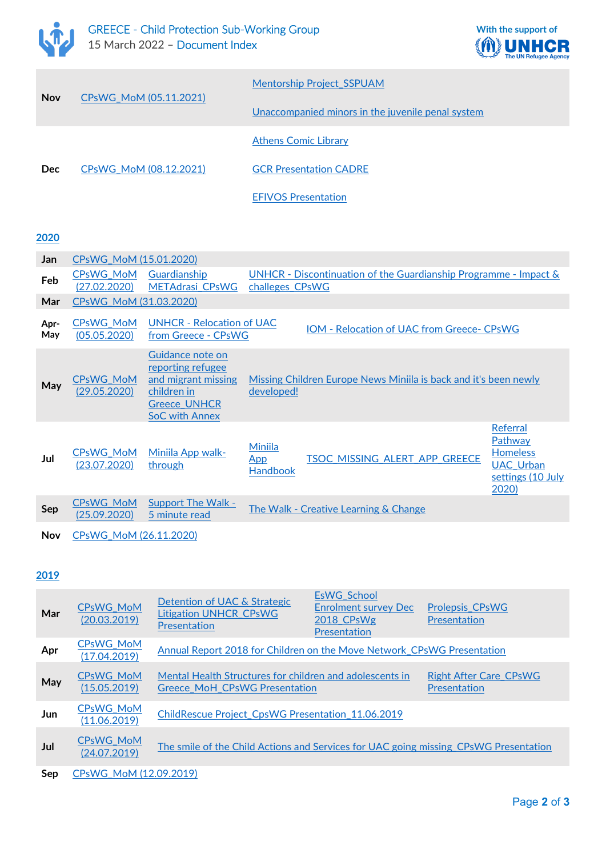



| <b>Nov</b> |                        | <b>Mentorship Project SSPUAM</b>                  |  |
|------------|------------------------|---------------------------------------------------|--|
|            | CPsWG MoM (05.11.2021) | Unaccompanied minors in the juvenile penal system |  |
|            |                        | <b>Athens Comic Library</b>                       |  |
| <b>Dec</b> | CPsWG MoM (08.12.2021) | <b>GCR Presentation CADRE</b>                     |  |
|            |                        | <b>EFIVOS Presentation</b>                        |  |

**2020**

| Jan         | CPsWG MoM (15.01.2020)           |                                                                                                                             |                                          |                                                                     |                                                                                          |
|-------------|----------------------------------|-----------------------------------------------------------------------------------------------------------------------------|------------------------------------------|---------------------------------------------------------------------|------------------------------------------------------------------------------------------|
| Feb         | CPsWG MoM<br>(27.02.2020)        | Guardianship<br><b>METAdrasi CPsWG</b>                                                                                      | challeges CPsWG                          | UNHCR - Discontinuation of the Guardianship Programme - Impact $\&$ |                                                                                          |
| Mar         |                                  | CPsWG MoM (31.03.2020)                                                                                                      |                                          |                                                                     |                                                                                          |
| Apr-<br>May | CPsWG_MoM<br>(05.05.2020)        | <b>UNHCR - Relocation of UAC</b><br>from Greece - CPsWG                                                                     |                                          | <b>IOM - Relocation of UAC from Greece- CPsWG</b>                   |                                                                                          |
| May         | <b>CPsWG MoM</b><br>(29.05.2020) | Guidance note on<br>reporting refugee<br>and migrant missing<br>children in<br><b>Greece UNHCR</b><br><b>SoC with Annex</b> | developed!                               | Missing Children Europe News Miniila is back and it's been newly    |                                                                                          |
| Jul         | <b>CPsWG MoM</b><br>(23.07.2020) | Miniila App walk-<br>through                                                                                                | <b>Miniila</b><br>App<br><b>Handbook</b> | TSOC_MISSING_ALERT_APP_GREECE                                       | Referral<br>Pathway<br><b>Homeless</b><br><b>UAC_Urban</b><br>settings (10 July<br>2020) |
| Sep         | <b>CPsWG MoM</b><br>(25.09.2020) | <b>Support The Walk -</b><br>5 minute read                                                                                  |                                          | The Walk - Creative Learning & Change                               |                                                                                          |
| Nov         | CPsWG MoM (26.11.2020)           |                                                                                                                             |                                          |                                                                     |                                                                                          |

### **2019**

| Mar | <b>CPsWG MoM</b><br>(20.03.2019) | Detention of UAC & Strategic<br><b>Litigation UNHCR CPsWG</b><br>Presentation                                    | <b>EsWG School</b><br><b>Enrolment survey Dec</b><br>2018 CPsWg<br>Presentation | <b>Prolepsis CPsWG</b><br><b>Presentation</b> |
|-----|----------------------------------|------------------------------------------------------------------------------------------------------------------|---------------------------------------------------------------------------------|-----------------------------------------------|
| Apr | <b>CPsWG MoM</b><br>(17.04.2019) | Annual Report 2018 for Children on the Move Network CPsWG Presentation                                           |                                                                                 |                                               |
| May | <b>CPsWG MoM</b><br>(15.05.2019) | Mental Health Structures for children and adolescents in<br><b>Greece MoH CPsWG Presentation</b><br>Presentation |                                                                                 | <b>Right After Care CPsWG</b>                 |
| Jun | <b>CPsWG MoM</b><br>(11.06.2019) | ChildRescue Project CpsWG Presentation 11.06.2019                                                                |                                                                                 |                                               |
| Jul | <b>CPsWG MoM</b><br>(24.07.2019) | The smile of the Child Actions and Services for UAC going missing CPsWG Presentation                             |                                                                                 |                                               |
| Sep | CPsWG MoM (12.09.2019)           |                                                                                                                  |                                                                                 |                                               |